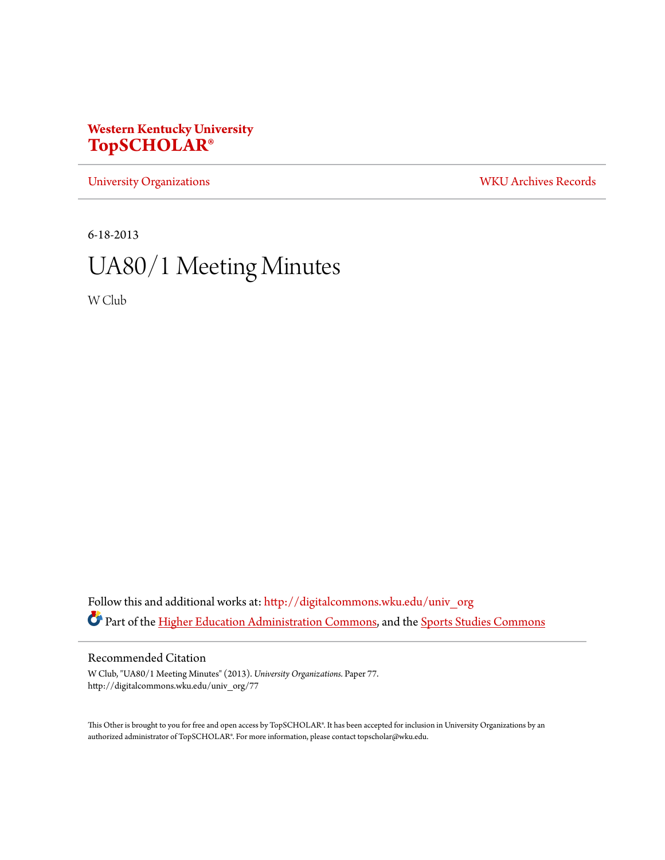# **Western Kentucky University [TopSCHOLAR®](http://digitalcommons.wku.edu?utm_source=digitalcommons.wku.edu%2Funiv_org%2F77&utm_medium=PDF&utm_campaign=PDFCoverPages)**

[University Organizations](http://digitalcommons.wku.edu/univ_org?utm_source=digitalcommons.wku.edu%2Funiv_org%2F77&utm_medium=PDF&utm_campaign=PDFCoverPages) [WKU Archives Records](http://digitalcommons.wku.edu/dlsc_ua_records?utm_source=digitalcommons.wku.edu%2Funiv_org%2F77&utm_medium=PDF&utm_campaign=PDFCoverPages)

6-18-2013

# UA80/1 Meeting Minutes

W Club

Follow this and additional works at: [http://digitalcommons.wku.edu/univ\\_org](http://digitalcommons.wku.edu/univ_org?utm_source=digitalcommons.wku.edu%2Funiv_org%2F77&utm_medium=PDF&utm_campaign=PDFCoverPages) Part of the [Higher Education Administration Commons](http://network.bepress.com/hgg/discipline/791?utm_source=digitalcommons.wku.edu%2Funiv_org%2F77&utm_medium=PDF&utm_campaign=PDFCoverPages), and the [Sports Studies Commons](http://network.bepress.com/hgg/discipline/1198?utm_source=digitalcommons.wku.edu%2Funiv_org%2F77&utm_medium=PDF&utm_campaign=PDFCoverPages)

Recommended Citation

W Club, "UA80/1 Meeting Minutes" (2013). *University Organizations.* Paper 77. http://digitalcommons.wku.edu/univ\_org/77

This Other is brought to you for free and open access by TopSCHOLAR®. It has been accepted for inclusion in University Organizations by an authorized administrator of TopSCHOLAR®. For more information, please contact topscholar@wku.edu.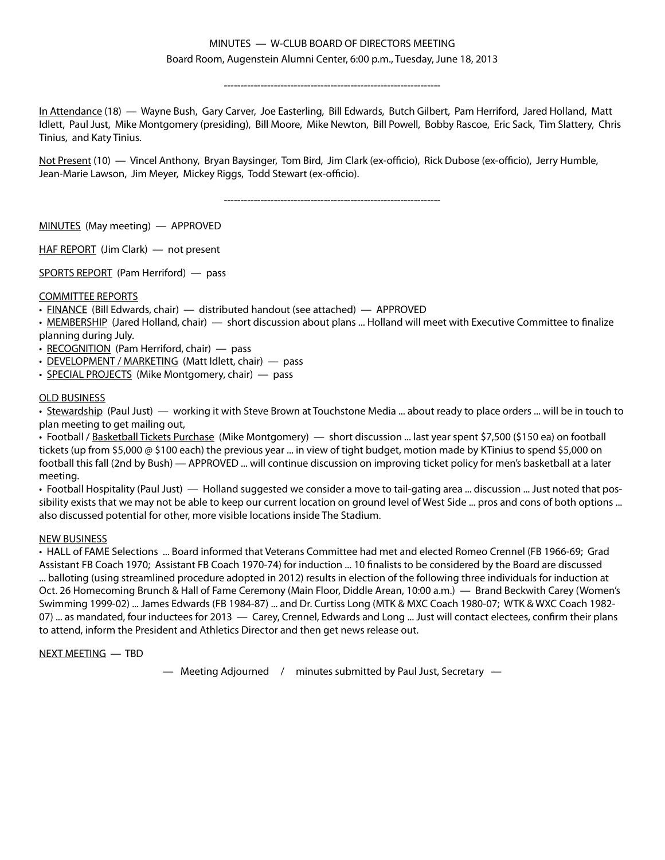### MINUTES — W-CLUB BOARD OF DIRECTORS MEETING Board Room, Augenstein Alumni Center, 6:00 p.m., Tuesday, June 18, 2013

-----------------------------------------------------------------

In Attendance (18) — Wayne Bush, Gary Carver, Joe Easterling, Bill Edwards, Butch Gilbert, Pam Herriford, Jared Holland, Matt Idlett, Paul Just, Mike Montgomery (presiding), Bill Moore, Mike Newton, Bill Powell, Bobby Rascoe, Eric Sack, Tim Slattery, Chris Tinius, and Katy Tinius.

Not Present (10) — Vincel Anthony, Bryan Baysinger, Tom Bird, Jim Clark (ex-officio), Rick Dubose (ex-officio), Jerry Humble, Jean-Marie Lawson, Jim Meyer, Mickey Riggs, Todd Stewart (ex-officio).

-----------------------------------------------------------------

MINUTES (May meeting) — APPROVED

HAF REPORT (Jim Clark) — not present

SPORTS REPORT (Pam Herriford) — pass

### COMMITTEE REPORTS

• FINANCE (Bill Edwards, chair) — distributed handout (see attached) — APPROVED

• MEMBERSHIP (Jared Holland, chair) — short discussion about plans ... Holland will meet with Executive Committee to finalize planning during July.

• RECOGNITION (Pam Herriford, chair) — pass

- DEVELOPMENT / MARKETING (Matt Idlett, chair) pass
- SPECIAL PROJECTS (Mike Montgomery, chair) pass

### OLD BUSINESS

• Stewardship (Paul Just) — working it with Steve Brown at Touchstone Media ... about ready to place orders ... will be in touch to plan meeting to get mailing out,

• Football / Basketball Tickets Purchase (Mike Montgomery) — short discussion ... last year spent \$7,500 (\$150 ea) on football tickets (up from \$5,000 @ \$100 each) the previous year ... in view of tight budget, motion made by KTinius to spend \$5,000 on football this fall (2nd by Bush) — APPROVED ... will continue discussion on improving ticket policy for men's basketball at a later meeting.

• Football Hospitality (Paul Just) — Holland suggested we consider a move to tail-gating area ... discussion ... Just noted that possibility exists that we may not be able to keep our current location on ground level of West Side ... pros and cons of both options ... also discussed potential for other, more visible locations inside The Stadium.

### NEW BUSINESS

• HALL of FAME Selections ... Board informed that Veterans Committee had met and elected Romeo Crennel (FB 1966-69; Grad Assistant FB Coach 1970; Assistant FB Coach 1970-74) for induction ... 10 finalists to be considered by the Board are discussed ... balloting (using streamlined procedure adopted in 2012) results in election of the following three individuals for induction at Oct. 26 Homecoming Brunch & Hall of Fame Ceremony (Main Floor, Diddle Arean, 10:00 a.m.) — Brand Beckwith Carey (Women's Swimming 1999-02) ... James Edwards (FB 1984-87) ... and Dr. Curtiss Long (MTK & MXC Coach 1980-07; WTK & WXC Coach 1982- 07) ... as mandated, four inductees for 2013 — Carey, Crennel, Edwards and Long ... Just will contact electees, confirm their plans to attend, inform the President and Athletics Director and then get news release out.

### NEXT MEETING — TBD

— Meeting Adjourned / minutes submitted by Paul Just, Secretary —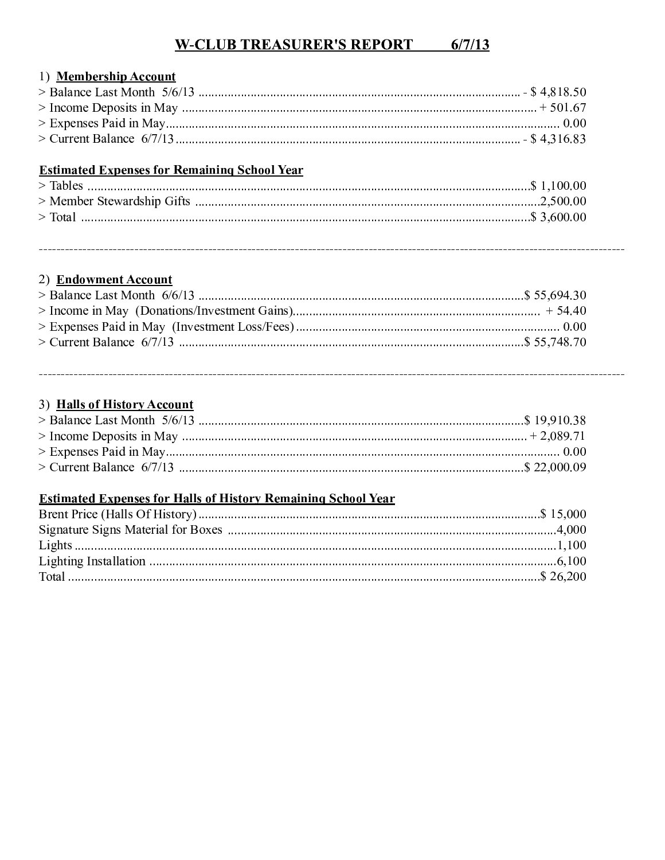# **W-CLUB TREASURER'S REPORT 6/7/13**

## 1) Membership Account

# **Estimated Expenses for Remaining School Year**

# 2) Endowment Account

## 3) Halls of History Account

# **Estimated Expenses for Halls of History Remaining School Year**